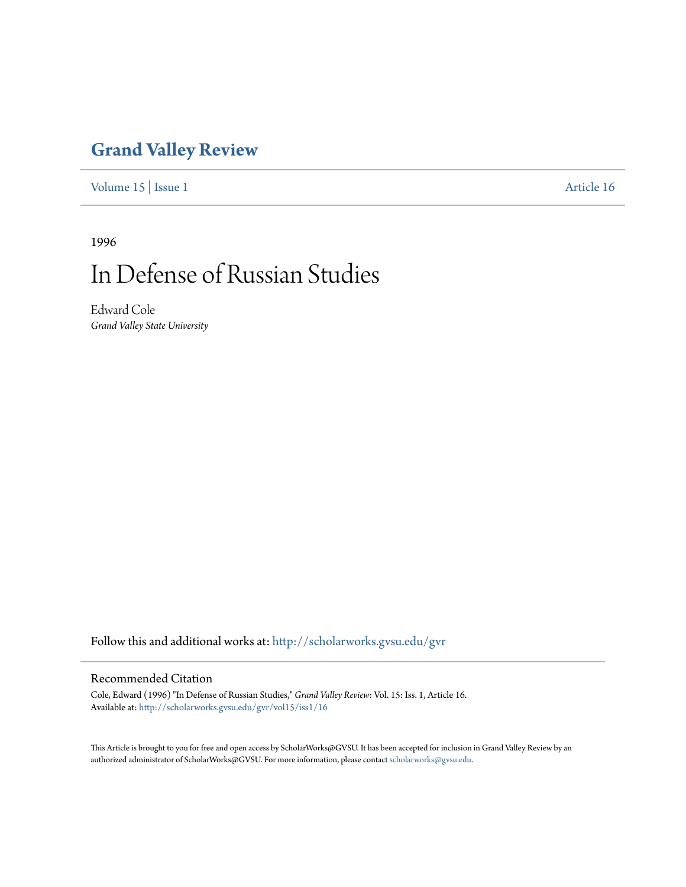## **[Grand Valley Review](http://scholarworks.gvsu.edu/gvr?utm_source=scholarworks.gvsu.edu%2Fgvr%2Fvol15%2Fiss1%2F16&utm_medium=PDF&utm_campaign=PDFCoverPages)**

[Volume 15](http://scholarworks.gvsu.edu/gvr/vol15?utm_source=scholarworks.gvsu.edu%2Fgvr%2Fvol15%2Fiss1%2F16&utm_medium=PDF&utm_campaign=PDFCoverPages) | [Issue 1](http://scholarworks.gvsu.edu/gvr/vol15/iss1?utm_source=scholarworks.gvsu.edu%2Fgvr%2Fvol15%2Fiss1%2F16&utm_medium=PDF&utm_campaign=PDFCoverPages) [Article 16](http://scholarworks.gvsu.edu/gvr/vol15/iss1/16?utm_source=scholarworks.gvsu.edu%2Fgvr%2Fvol15%2Fiss1%2F16&utm_medium=PDF&utm_campaign=PDFCoverPages)

1996

# In Defense of Russian Studies

Edward Cole *Grand Valley State University*

Follow this and additional works at: [http://scholarworks.gvsu.edu/gvr](http://scholarworks.gvsu.edu/gvr?utm_source=scholarworks.gvsu.edu%2Fgvr%2Fvol15%2Fiss1%2F16&utm_medium=PDF&utm_campaign=PDFCoverPages)

#### Recommended Citation

Cole, Edward (1996) "In Defense of Russian Studies," *Grand Valley Review*: Vol. 15: Iss. 1, Article 16. Available at: [http://scholarworks.gvsu.edu/gvr/vol15/iss1/16](http://scholarworks.gvsu.edu/gvr/vol15/iss1/16?utm_source=scholarworks.gvsu.edu%2Fgvr%2Fvol15%2Fiss1%2F16&utm_medium=PDF&utm_campaign=PDFCoverPages)

This Article is brought to you for free and open access by ScholarWorks@GVSU. It has been accepted for inclusion in Grand Valley Review by an authorized administrator of ScholarWorks@GVSU. For more information, please contact [scholarworks@gvsu.edu.](mailto:scholarworks@gvsu.edu)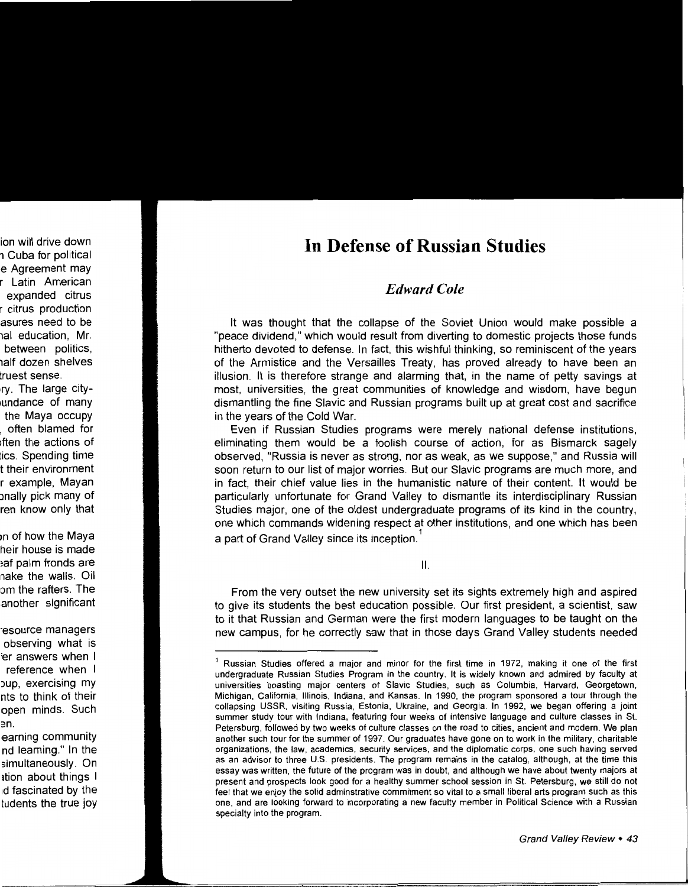### **In Defense of Russian Studies**

#### *Edward Cole*

It was thought that the collapse of the Soviet Union would make possible a "peace dividend," which would result from diverting to domestic projects those funds hitherto devoted to defense. In fact, this wishful thinking, so reminiscent of the years of the Armistice and the Versailles Treaty, has proved already to have been an illusion. It is therefore strange and alarming that, in the name of petty savings at most, universities, the great communities of knowledge and wisdom, have begun dismantling the fine Slavic and Russian programs built up at great cost and sacrifice in the years of the Cold War.

Even if Russian Studies programs were merely national defense institutions, eliminating them would be a foolish course of action, for as Bismarck sagely observed, "Russia is never as strong, nor as weak, as we suppose," and Russia will soon return to our list of major worries. But our Slavic programs are much more, and in fact, their chief value lies in the humanistic nature of their content. It would be particularly unfortunate for Grand Valley to dismantle its interdisciplinary Russian Studies major, one of the oldest undergraduate programs of its kind in the country, one which commands widening respect at other institutions, and one which has been a part of Grand Valley since its inception.<sup>1</sup>

II.

From the very outset the new university set its sights extremely high and aspired to give its students the best education possible. Our first president, a scientist, saw to it that Russian and German were the first modern languages to be taught on the new campus, for he correctly saw that in those days Grand Valley students needed

 $1$  Russian Studies offered a major and minor for the first time in 1972, making it one of the first undergraduate Russian Studies Program in the country. It is widely known and admired by faculty at universities boasting major centers of Slavic Studies, such as Columbia, Harvard, Georgetown, Michigan, California, Illinois, Indiana, and Kansas. In 1990, the program sponsored a tour through the collapsing USSR, visiting Russia, Estonia, Ukraine, and Georgia. In 1992, we began offering a joint summer study tour with Indiana, featuring four weeks of intensive language and culture classes in St. Petersburg, followed by two weeks of culture classes on the road to cities, ancient and modern. We plan another such tour for the summer of 1997. Our graduates have gone on to work in the military, charitable organizations, the law, academics, security services, and the diplomatic corps, one such having served as an advisor to three U.S. presidents. The program remains in the catalog, although, at the time this essay was written, the future of the program was in doubt, and although we have about twenty majors at present and prospects look good for a healthy summer school session in St. Petersburg, we still do not feel that we enjoy the solid adminstrative commitment so vital to a small liberal arts program such as this one, and are looking forward to incorporating a new faculty member in Political Science with a Russian specialty into the program.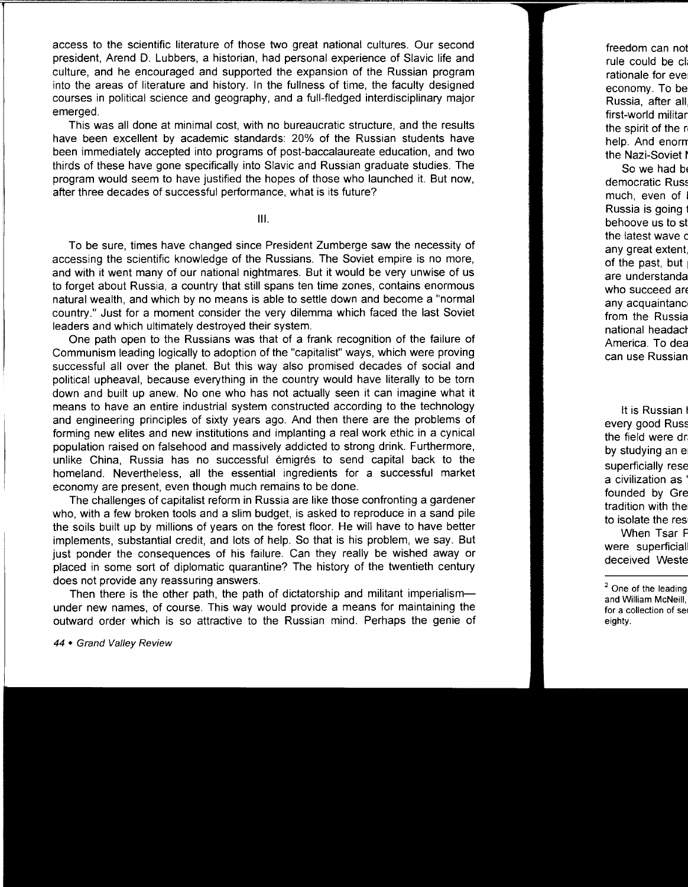access to the scientific literature of those two great national cultures. Our second president, Arend D. Lubbers, a historian, had personal experience of Slavic life and culture, and he encouraged and supported the expansion of the Russian program into the areas of literature and history. In the fullness of time, the faculty designed courses in political science and geography, and a full-fledged interdisciplinary major emerged.

This was all done at minimal cost, with no bureaucratic structure, and the results have been excellent by academic standards: 20% of the Russian students have been immediately accepted into programs of post-baccalaureate education, and two thirds of these have gone specifically into Slavic and Russian graduate studies. The program would seem to have justified the hopes of those who launched it. But now, after three decades of successful performance, what is its future?

Ill.

To be sure, times have changed since President Zumberge saw the necessity of accessing the scientific knowledge of the Russians. The Soviet empire is no more, and with it went many of our national nightmares. But it would be very unwise of us to forget about Russia, a country that still spans ten time zones, contains enormous natural wealth, and which by no means is able to settle down and become a "normal country." Just for a moment consider the very dilemma which faced the last Soviet leaders and which ultimately destroyed their system.

One path open to the Russians was that of a frank recognition of the failure of Communism leading logically to adoption of the "capitalist" ways, which were proving successful all over the planet. But this way also promised decades of social and political upheaval, because everything in the country would have literally to be torn down and built up anew. No one who has not actually seen it can imagine what it means to have an entire industrial system constructed according to the technology and engineering principles of sixty years ago. And then there are the problems of forming new elites and new institutions and implanting a real work ethic in a cynical population raised on falsehood and massively addicted to strong drink. Furthermore, unlike China, Russia has no successful emigres to send capital back to the homeland. Nevertheless, all the essential ingredients for a successful market economy are present, even though much remains to be done.

The challenges of capitalist reform in Russia are like those confronting a gardener who, with a few broken tools and a slim budget, is asked to reproduce in a sand pile the soils built up by millions of years on the forest floor. He will have to have better implements, substantial credit, and lots of help. So that is his problem, we say. But just ponder the consequences of his failure. Can they really be wished away or placed in some sort of diplomatic quarantine? The history of the twentieth century does not provide any reassuring answers.

Then there is the other path, the path of dictatorship and militant imperialism under new names, of course. This way would provide a means for maintaining the outward order which is so attractive to the Russian mind. Perhaps the genie of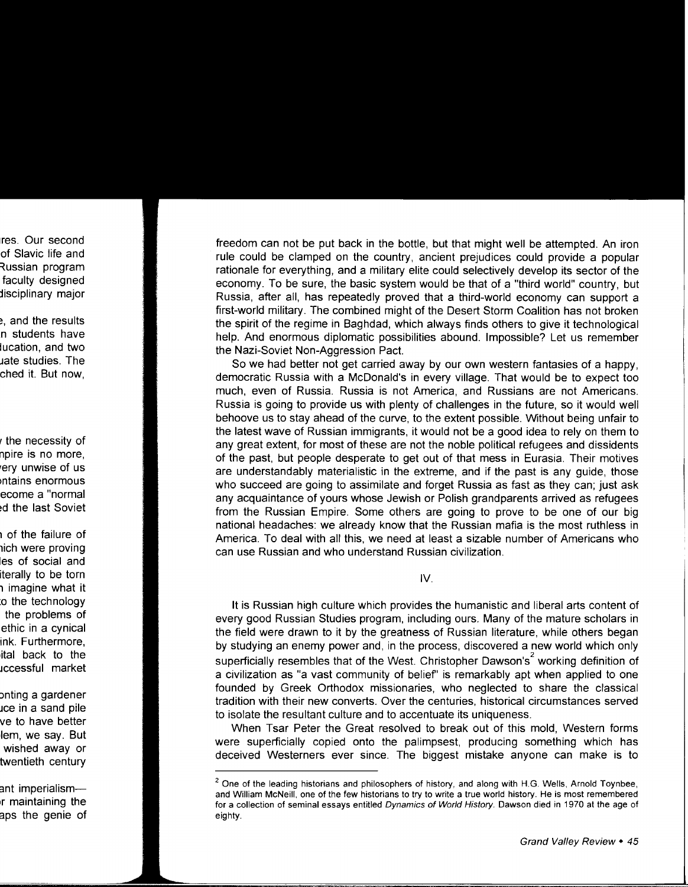freedom can not be put back in the bottle, but that might well be attempted. An iron rule could be clamped on the country, ancient prejudices could provide a popular rationale for everything, and a military elite could selectively develop its sector of the economy. To be sure, the basic system would be that of a "third world" country, but Russia, after all, has repeatedly proved that a third-world economy can support a first-world military. The combined might of the Desert Storm Coalition has not broken the spirit of the regime in Baghdad, which always finds others to give it technological help. And enormous diplomatic possibilities abound. Impossible? Let us remember the Nazi-Soviet Non-Aggression Pact.

So we had better not get carried away by our own western fantasies of a happy, democratic Russia with a McDonald's in every village. That would be to expect too much, even of Russia. Russia is not America, and Russians are not Americans. Russia is going to provide us with plenty of challenges in the future, so it would well behoove us to stay ahead of the curve, to the extent possible. Without being unfair to the latest wave of Russian immigrants, it would not be a good idea to rely on them to any great extent, for most of these are not the noble political refugees and dissidents of the past, but people desperate to get out of that mess in Eurasia. Their motives are understandably materialistic in the extreme, and if the past is any guide, those who succeed are going to assimilate and forget Russia as fast as they can; just ask any acquaintance of yours whose Jewish or Polish grandparents arrived as refugees from the Russian Empire. Some others are going to prove to be one of our big national headaches: we already know that the Russian mafia is the most ruthless in America. To deal with all this, we need at least a sizable number of Americans who can use Russian and who understand Russian civilization.

IV.

It is Russian high culture which provides the humanistic and liberal arts content of every good Russian Studies program, including ours. Many of the mature scholars in the field were drawn to it by the greatness of Russian literature, while others began by studying an enemy power and, in the process, discovered a new world which only superficially resembles that of the West. Christopher Dawson's<sup>2</sup> working definition of a civilization as "a vast community of belief' is remarkably apt when applied to one founded by Greek Orthodox missionaries, who neglected to share the classical tradition with their new converts. Over the centuries, historical circumstances served to isolate the resultant culture and to accentuate its uniqueness.

When Tsar Peter the Great resolved to break out of this mold, Western forms were superficially copied onto the palimpsest, producing something which has deceived Westerners ever since. The biggest mistake anyone can make is to

 $<sup>2</sup>$  One of the leading historians and philosophers of history, and along with H.G. Wells, Arnold Toynbee,</sup> and William McNeill, one of the few historians to try to write a true world history. He is most remembered for a collection of seminal essays entitled Dynamics of World History. Dawson died in 1970 at the age of eighty.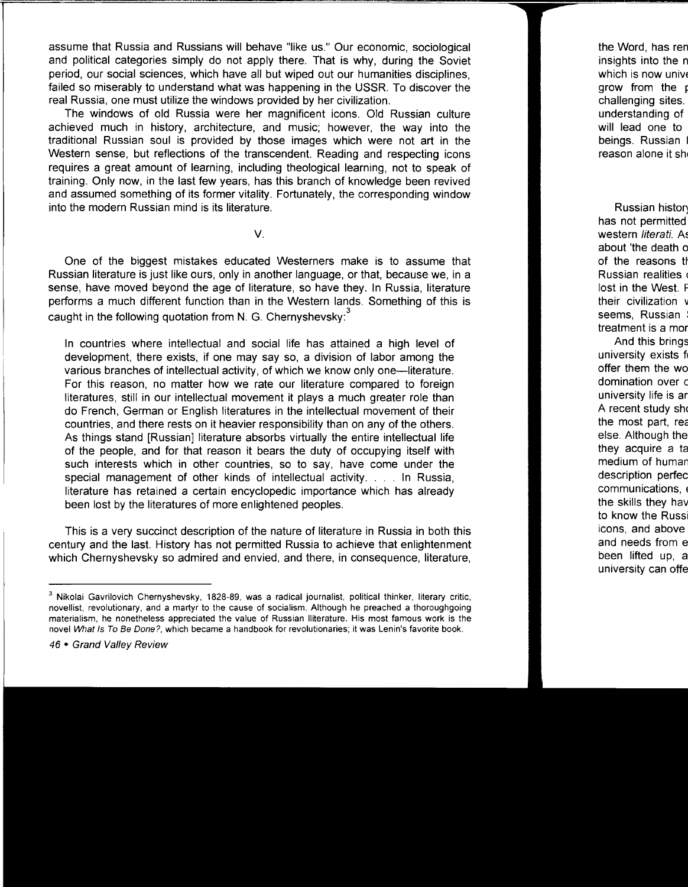assume that Russia and Russians will behave "like us." Our economic, sociological and political categories simply do not apply there. That is why, during the Soviet period, our social sciences, which have all but wiped out our humanities disciplines, failed so miserably to understand what was happening in the USSR. To discover the real Russia, one must utilize the windows provided by her civilization.

The windows of old Russia were her magnificent icons. Old Russian culture achieved much in history, architecture, and music; however, the way into the traditional Russian soul is provided by those images which were not art in the Western sense, but reflections of the transcendent. Reading and respecting icons requires a great amount of learning, including theological learning, not to speak of training. Only now, in the last few years, has this branch of knowledge been revived and assumed something of its former vitality. Fortunately, the corresponding window into the modern Russian mind is its literature.

V.

One of the biggest mistakes educated Westerners make is to assume that Russian literature is just like ours, only in another language, or that, because we, in a sense, have moved beyond the age of literature, so have they. In Russia, literature performs a much different function than in the Western lands. Something of this is caught in the following quotation from N. G. Chernyshevsky:<sup>3</sup>

In countries where intellectual and social life has attained a high level of development, there exists, if one may say so, a division of labor among the various branches of intellectual activity, of which we know only one-literature. For this reason, no matter how we rate our literature compared to foreign literatures, still in our intellectual movement it plays a much greater role than do French, German or English literatures in the intellectual movement of their countries, and there rests on it heavier responsibility than on any of the others. As things stand [Russian] literature absorbs virtually the entire intellectual life of the people, and for that reason it bears the duty of occupying itself with such interests which in other countries, so to say, have come under the special management of other kinds of intellectual activity .... In Russia, literature has retained a certain encyclopedic importance which has already been lost by the literatures of more enlightened peoples.

This is a very succinct description of the nature of literature in Russia in both this century and the last. History has not permitted Russia to achieve that enlightenment which Chernyshevsky so admired and envied, and there, in consequence, literature,

 $3$  Nikolai Gavrilovich Chernyshevsky, 1828-89, was a radical journalist, political thinker, literary critic, novellist, revolutionary, and a martyr to the cause of socialism. Although he preached a thoroughgoing materialism, he nonetheless appreciated the value of Russian !literature. His most famous work is the novel What Is To Be Done?, which became a handbook for revolutionaries; it was Lenin's favorite book.